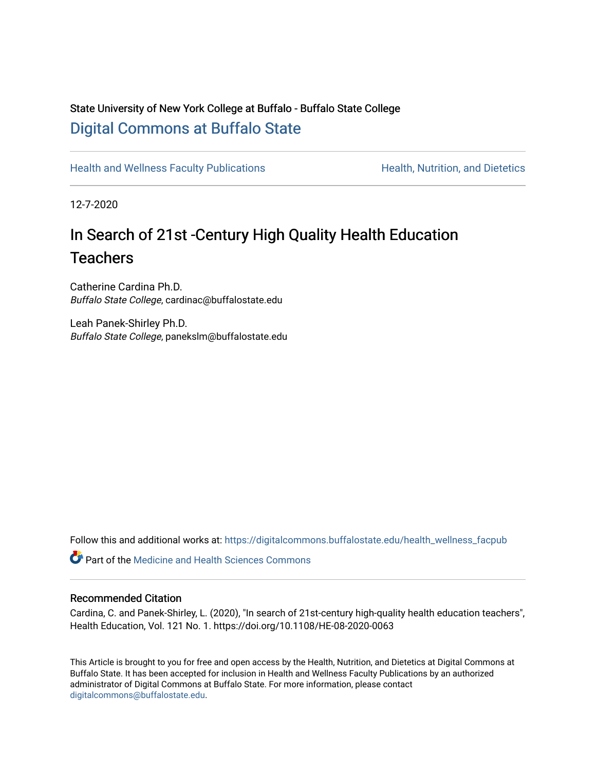# State University of New York College at Buffalo - Buffalo State College [Digital Commons at Buffalo State](https://digitalcommons.buffalostate.edu/)

[Health and Wellness Faculty Publications](https://digitalcommons.buffalostate.edu/health_wellness_facpub) **Health, Nutrition, and Dietetics** Health, Nutrition, and Dietetics

12-7-2020

# In Search of 21st -Century High Quality Health Education **Teachers**

Catherine Cardina Ph.D. Buffalo State College, cardinac@buffalostate.edu

Leah Panek-Shirley Ph.D. Buffalo State College, panekslm@buffalostate.edu

Follow this and additional works at: [https://digitalcommons.buffalostate.edu/health\\_wellness\\_facpub](https://digitalcommons.buffalostate.edu/health_wellness_facpub?utm_source=digitalcommons.buffalostate.edu%2Fhealth_wellness_facpub%2F1&utm_medium=PDF&utm_campaign=PDFCoverPages)

**C** Part of the Medicine and Health Sciences Commons

#### Recommended Citation

Cardina, C. and Panek-Shirley, L. (2020), "In search of 21st-century high-quality health education teachers", Health Education, Vol. 121 No. 1. https://doi.org/10.1108/HE-08-2020-0063

This Article is brought to you for free and open access by the Health, Nutrition, and Dietetics at Digital Commons at Buffalo State. It has been accepted for inclusion in Health and Wellness Faculty Publications by an authorized administrator of Digital Commons at Buffalo State. For more information, please contact [digitalcommons@buffalostate.edu.](mailto:digitalcommons@buffalostate.edu)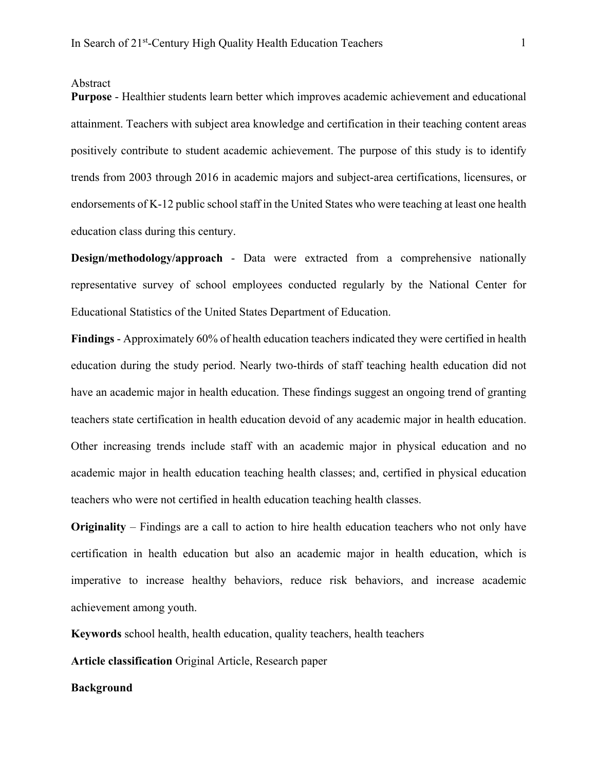#### Abstract

**Purpose** - Healthier students learn better which improves academic achievement and educational attainment. Teachers with subject area knowledge and certification in their teaching content areas positively contribute to student academic achievement. The purpose of this study is to identify trends from 2003 through 2016 in academic majors and subject-area certifications, licensures, or endorsements of K-12 public school staff in the United States who were teaching at least one health education class during this century.

**Design/methodology/approach** - Data were extracted from a comprehensive nationally representative survey of school employees conducted regularly by the National Center for Educational Statistics of the United States Department of Education.

**Findings** - Approximately 60% of health education teachers indicated they were certified in health education during the study period. Nearly two-thirds of staff teaching health education did not have an academic major in health education. These findings suggest an ongoing trend of granting teachers state certification in health education devoid of any academic major in health education. Other increasing trends include staff with an academic major in physical education and no academic major in health education teaching health classes; and, certified in physical education teachers who were not certified in health education teaching health classes.

**Originality** – Findings are a call to action to hire health education teachers who not only have certification in health education but also an academic major in health education, which is imperative to increase healthy behaviors, reduce risk behaviors, and increase academic achievement among youth.

**Keywords** school health, health education, quality teachers, health teachers

**Article classification** Original Article, Research paper

**Background**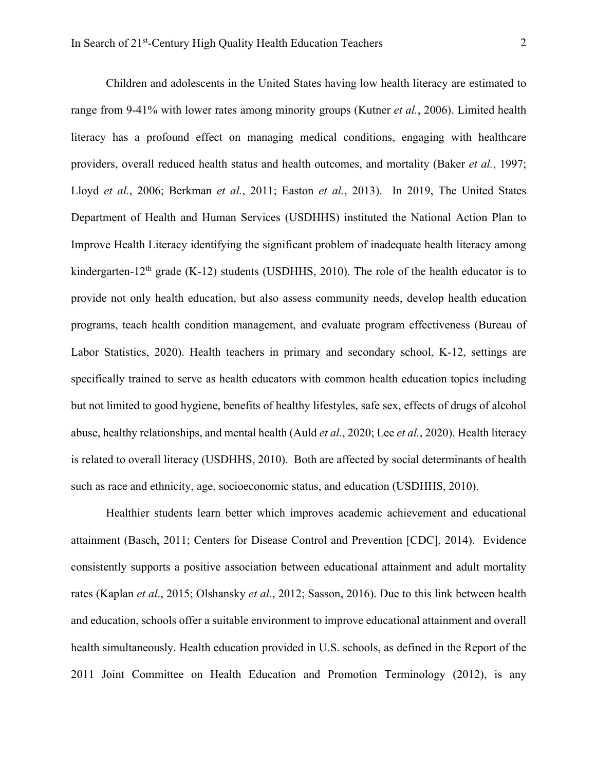Children and adolescents in the United States having low health literacy are estimated to range from 9-41% with lower rates among minority groups (Kutner *et al.*, 2006). Limited health literacy has a profound effect on managing medical conditions, engaging with healthcare providers, overall reduced health status and health outcomes, and mortality (Baker *et al.*, 1997; Lloyd *et al.*, 2006; Berkman *et al.*, 2011; Easton *et al.*, 2013). In 2019, The United States Department of Health and Human Services (USDHHS) instituted the National Action Plan to Improve Health Literacy identifying the significant problem of inadequate health literacy among kindergarten-12<sup>th</sup> grade (K-12) students (USDHHS, 2010). The role of the health educator is to provide not only health education, but also assess community needs, develop health education programs, teach health condition management, and evaluate program effectiveness (Bureau of Labor Statistics, 2020). Health teachers in primary and secondary school, K-12, settings are specifically trained to serve as health educators with common health education topics including but not limited to good hygiene, benefits of healthy lifestyles, safe sex, effects of drugs of alcohol abuse, healthy relationships, and mental health (Auld *et al.*, 2020; Lee *et al.*, 2020). Health literacy is related to overall literacy (USDHHS, 2010). Both are affected by social determinants of health such as race and ethnicity, age, socioeconomic status, and education (USDHHS, 2010).

Healthier students learn better which improves academic achievement and educational attainment (Basch, 2011; Centers for Disease Control and Prevention [CDC], 2014). Evidence consistently supports a positive association between educational attainment and adult mortality rates (Kaplan *et al*., 2015; Olshansky *et al.*, 2012; Sasson, 2016). Due to this link between health and education, schools offer a suitable environment to improve educational attainment and overall health simultaneously. Health education provided in U.S. schools, as defined in the Report of the 2011 Joint Committee on Health Education and Promotion Terminology (2012), is any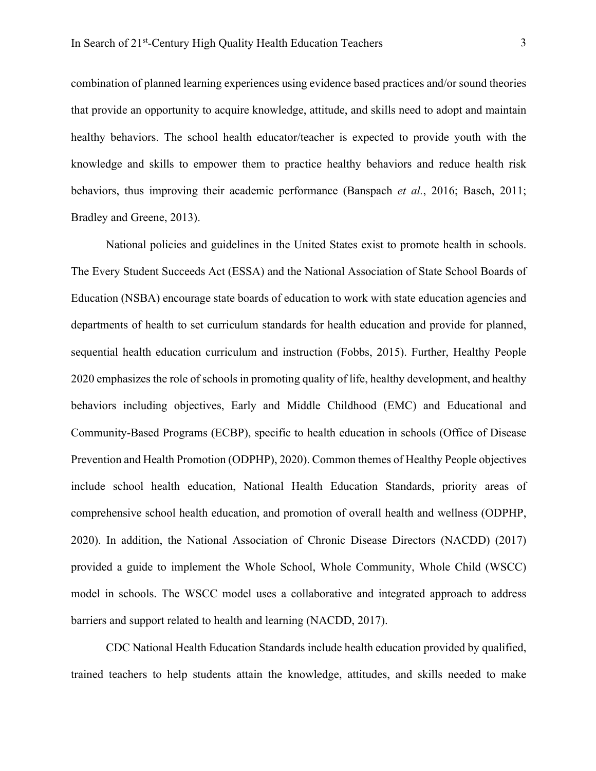combination of planned learning experiences using evidence based practices and/or sound theories that provide an opportunity to acquire knowledge, attitude, and skills need to adopt and maintain healthy behaviors. The school health educator/teacher is expected to provide youth with the knowledge and skills to empower them to practice healthy behaviors and reduce health risk behaviors, thus improving their academic performance (Banspach *et al.*, 2016; Basch, 2011; Bradley and Greene, 2013).

National policies and guidelines in the United States exist to promote health in schools. The Every Student Succeeds Act (ESSA) and the National Association of State School Boards of Education (NSBA) encourage state boards of education to work with state education agencies and departments of health to set curriculum standards for health education and provide for planned, sequential health education curriculum and instruction (Fobbs, 2015). Further, Healthy People 2020 emphasizes the role of schools in promoting quality of life, healthy development, and healthy behaviors including objectives, Early and Middle Childhood (EMC) and Educational and Community-Based Programs (ECBP), specific to health education in schools (Office of Disease Prevention and Health Promotion (ODPHP), 2020). Common themes of Healthy People objectives include school health education, National Health Education Standards, priority areas of comprehensive school health education, and promotion of overall health and wellness (ODPHP, 2020). In addition, the National Association of Chronic Disease Directors (NACDD) (2017) provided a guide to implement the Whole School, Whole Community, Whole Child (WSCC) model in schools. The WSCC model uses a collaborative and integrated approach to address barriers and support related to health and learning (NACDD, 2017).

CDC National Health Education Standards include health education provided by qualified, trained teachers to help students attain the knowledge, attitudes, and skills needed to make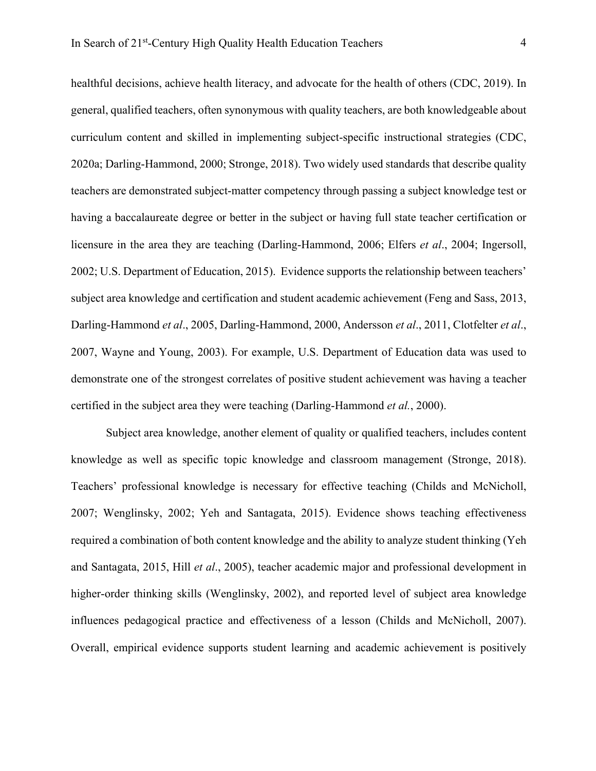healthful decisions, achieve health literacy, and advocate for the health of others (CDC, 2019). In general, qualified teachers, often synonymous with quality teachers, are both knowledgeable about curriculum content and skilled in implementing subject-specific instructional strategies (CDC, 2020a; Darling-Hammond, 2000; Stronge, 2018). Two widely used standards that describe quality teachers are demonstrated subject-matter competency through passing a subject knowledge test or having a baccalaureate degree or better in the subject or having full state teacher certification or licensure in the area they are teaching (Darling-Hammond, 2006; Elfers *et al*., 2004; Ingersoll, 2002; U.S. Department of Education, 2015). Evidence supports the relationship between teachers' subject area knowledge and certification and student academic achievement (Feng and Sass, 2013, Darling-Hammond *et al*., 2005, Darling-Hammond, 2000, Andersson *et al*., 2011, Clotfelter *et al*., 2007, Wayne and Young, 2003). For example, U.S. Department of Education data was used to

demonstrate one of the strongest correlates of positive student achievement was having a teacher certified in the subject area they were teaching (Darling-Hammond *et al.*, 2000).

Subject area knowledge, another element of quality or qualified teachers, includes content knowledge as well as specific topic knowledge and classroom management (Stronge, 2018). Teachers' professional knowledge is necessary for effective teaching (Childs and McNicholl, 2007; Wenglinsky, 2002; Yeh and Santagata, 2015). Evidence shows teaching effectiveness required a combination of both content knowledge and the ability to analyze student thinking (Yeh and Santagata, 2015, Hill *et al*., 2005), teacher academic major and professional development in higher-order thinking skills (Wenglinsky, 2002), and reported level of subject area knowledge influences pedagogical practice and effectiveness of a lesson (Childs and McNicholl, 2007). Overall, empirical evidence supports student learning and academic achievement is positively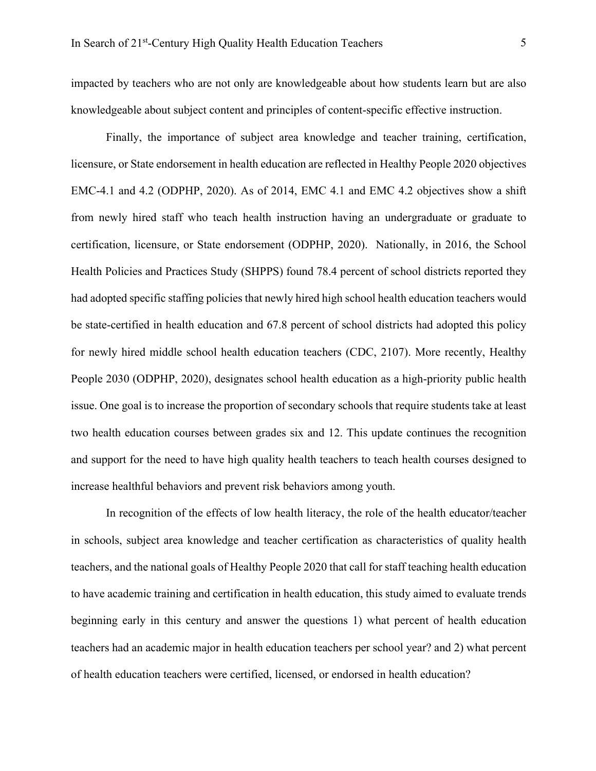impacted by teachers who are not only are knowledgeable about how students learn but are also knowledgeable about subject content and principles of content-specific effective instruction.

Finally, the importance of subject area knowledge and teacher training, certification, licensure, or State endorsement in health education are reflected in Healthy People 2020 objectives EMC-4.1 and 4.2 (ODPHP, 2020). As of 2014, EMC 4.1 and EMC 4.2 objectives show a shift from newly hired staff who teach health instruction having an undergraduate or graduate to certification, licensure, or State endorsement (ODPHP, 2020). Nationally, in 2016, the School Health Policies and Practices Study (SHPPS) found 78.4 percent of school districts reported they had adopted specific staffing policies that newly hired high school health education teachers would be state-certified in health education and 67.8 percent of school districts had adopted this policy for newly hired middle school health education teachers (CDC, 2107). More recently, Healthy People 2030 (ODPHP, 2020), designates school health education as a high-priority public health issue. One goal is to increase the proportion of secondary schools that require students take at least two health education courses between grades six and 12. This update continues the recognition and support for the need to have high quality health teachers to teach health courses designed to increase healthful behaviors and prevent risk behaviors among youth.

In recognition of the effects of low health literacy, the role of the health educator/teacher in schools, subject area knowledge and teacher certification as characteristics of quality health teachers, and the national goals of Healthy People 2020 that call for staff teaching health education to have academic training and certification in health education, this study aimed to evaluate trends beginning early in this century and answer the questions 1) what percent of health education teachers had an academic major in health education teachers per school year? and 2) what percent of health education teachers were certified, licensed, or endorsed in health education?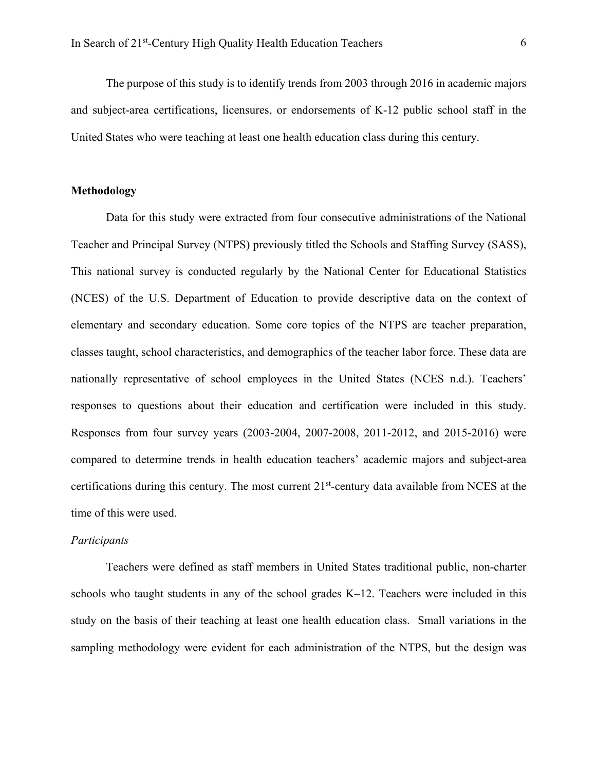The purpose of this study is to identify trends from 2003 through 2016 in academic majors and subject-area certifications, licensures, or endorsements of K-12 public school staff in the United States who were teaching at least one health education class during this century.

# **Methodology**

Data for this study were extracted from four consecutive administrations of the National Teacher and Principal Survey (NTPS) previously titled the Schools and Staffing Survey (SASS), This national survey is conducted regularly by the National Center for Educational Statistics (NCES) of the U.S. Department of Education to provide descriptive data on the context of elementary and secondary education. Some core topics of the NTPS are teacher preparation, classes taught, school characteristics, and demographics of the teacher labor force. These data are nationally representative of school employees in the United States (NCES n.d.). Teachers' responses to questions about their education and certification were included in this study. Responses from four survey years (2003-2004, 2007-2008, 2011-2012, and 2015-2016) were compared to determine trends in health education teachers' academic majors and subject-area certifications during this century. The most current 21st-century data available from NCES at the time of this were used.

# *Participants*

Teachers were defined as staff members in United States traditional public, non-charter schools who taught students in any of the school grades K–12. Teachers were included in this study on the basis of their teaching at least one health education class. Small variations in the sampling methodology were evident for each administration of the NTPS, but the design was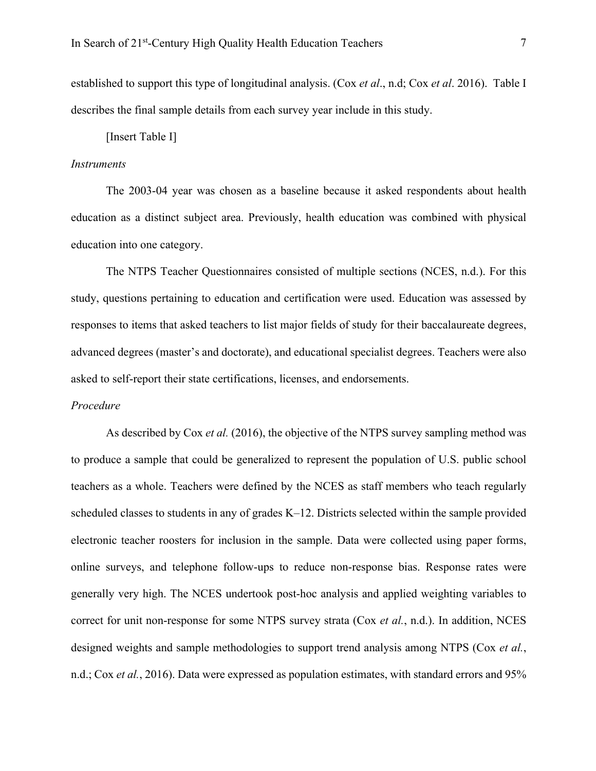established to support this type of longitudinal analysis. (Cox *et al*., n.d; Cox *et al*. 2016). Table I describes the final sample details from each survey year include in this study.

[Insert Table I]

#### *Instruments*

The 2003-04 year was chosen as a baseline because it asked respondents about health education as a distinct subject area. Previously, health education was combined with physical education into one category.

The NTPS Teacher Questionnaires consisted of multiple sections (NCES, n.d.). For this study, questions pertaining to education and certification were used. Education was assessed by responses to items that asked teachers to list major fields of study for their baccalaureate degrees, advanced degrees (master's and doctorate), and educational specialist degrees. Teachers were also asked to self-report their state certifications, licenses, and endorsements.

#### *Procedure*

As described by Cox *et al.* (2016), the objective of the NTPS survey sampling method was to produce a sample that could be generalized to represent the population of U.S. public school teachers as a whole. Teachers were defined by the NCES as staff members who teach regularly scheduled classes to students in any of grades K–12. Districts selected within the sample provided electronic teacher roosters for inclusion in the sample. Data were collected using paper forms, online surveys, and telephone follow-ups to reduce non-response bias. Response rates were generally very high. The NCES undertook post-hoc analysis and applied weighting variables to correct for unit non-response for some NTPS survey strata (Cox *et al.*, n.d.). In addition, NCES designed weights and sample methodologies to support trend analysis among NTPS (Cox *et al.*, n.d.; Cox *et al.*, 2016). Data were expressed as population estimates, with standard errors and 95%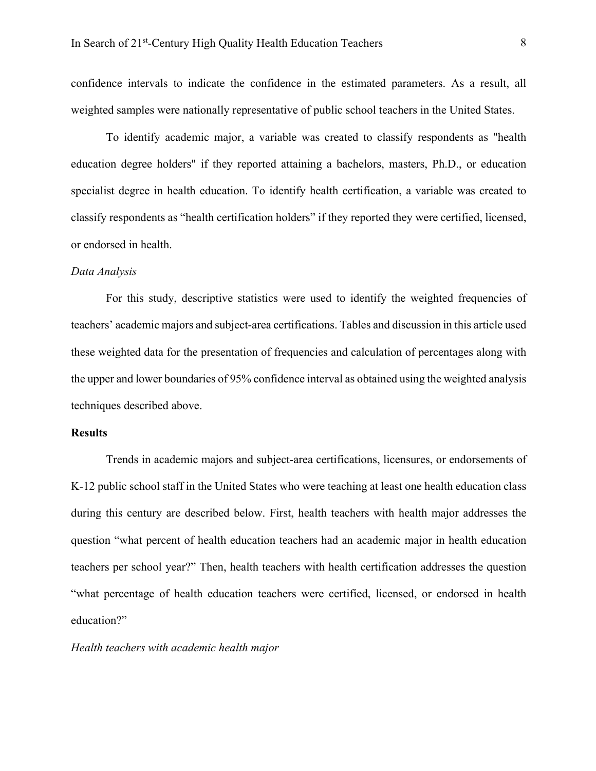confidence intervals to indicate the confidence in the estimated parameters. As a result, all weighted samples were nationally representative of public school teachers in the United States.

To identify academic major, a variable was created to classify respondents as "health education degree holders" if they reported attaining a bachelors, masters, Ph.D., or education specialist degree in health education. To identify health certification, a variable was created to classify respondents as "health certification holders" if they reported they were certified, licensed, or endorsed in health.

#### *Data Analysis*

For this study, descriptive statistics were used to identify the weighted frequencies of teachers' academic majors and subject-area certifications. Tables and discussion in this article used these weighted data for the presentation of frequencies and calculation of percentages along with the upper and lower boundaries of 95% confidence interval as obtained using the weighted analysis techniques described above.

### **Results**

Trends in academic majors and subject-area certifications, licensures, or endorsements of K-12 public school staff in the United States who were teaching at least one health education class during this century are described below. First, health teachers with health major addresses the question "what percent of health education teachers had an academic major in health education teachers per school year?" Then, health teachers with health certification addresses the question "what percentage of health education teachers were certified, licensed, or endorsed in health education?"

#### *Health teachers with academic health major*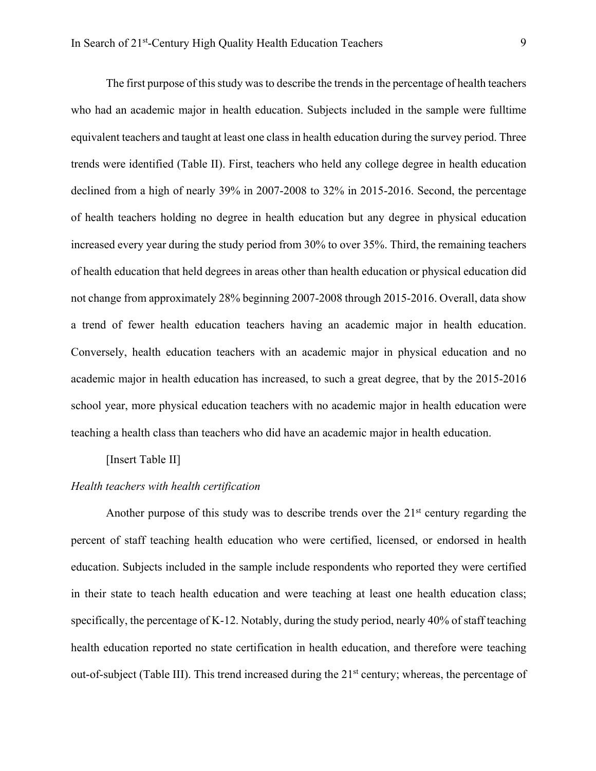The first purpose of this study was to describe the trends in the percentage of health teachers who had an academic major in health education. Subjects included in the sample were fulltime equivalent teachers and taught at least one class in health education during the survey period. Three trends were identified (Table II). First, teachers who held any college degree in health education declined from a high of nearly 39% in 2007-2008 to 32% in 2015-2016. Second, the percentage of health teachers holding no degree in health education but any degree in physical education increased every year during the study period from 30% to over 35%. Third, the remaining teachers of health education that held degrees in areas other than health education or physical education did not change from approximately 28% beginning 2007-2008 through 2015-2016. Overall, data show a trend of fewer health education teachers having an academic major in health education. Conversely, health education teachers with an academic major in physical education and no academic major in health education has increased, to such a great degree, that by the 2015-2016 school year, more physical education teachers with no academic major in health education were teaching a health class than teachers who did have an academic major in health education.

[Insert Table II]

#### *Health teachers with health certification*

Another purpose of this study was to describe trends over the  $21<sup>st</sup>$  century regarding the percent of staff teaching health education who were certified, licensed, or endorsed in health education. Subjects included in the sample include respondents who reported they were certified in their state to teach health education and were teaching at least one health education class; specifically, the percentage of K-12. Notably, during the study period, nearly 40% of staff teaching health education reported no state certification in health education, and therefore were teaching out-of-subject (Table III). This trend increased during the 21<sup>st</sup> century; whereas, the percentage of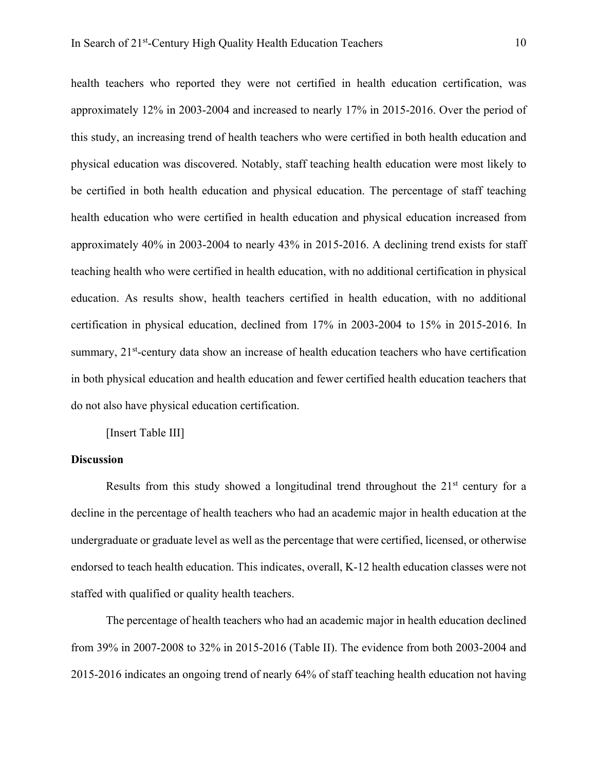health teachers who reported they were not certified in health education certification, was approximately 12% in 2003-2004 and increased to nearly 17% in 2015-2016. Over the period of this study, an increasing trend of health teachers who were certified in both health education and physical education was discovered. Notably, staff teaching health education were most likely to be certified in both health education and physical education. The percentage of staff teaching health education who were certified in health education and physical education increased from approximately 40% in 2003-2004 to nearly 43% in 2015-2016. A declining trend exists for staff teaching health who were certified in health education, with no additional certification in physical education. As results show, health teachers certified in health education, with no additional certification in physical education, declined from 17% in 2003-2004 to 15% in 2015-2016. In summary,  $21<sup>st</sup>$ -century data show an increase of health education teachers who have certification in both physical education and health education and fewer certified health education teachers that do not also have physical education certification.

[Insert Table III]

## **Discussion**

Results from this study showed a longitudinal trend throughout the  $21<sup>st</sup>$  century for a decline in the percentage of health teachers who had an academic major in health education at the undergraduate or graduate level as well as the percentage that were certified, licensed, or otherwise endorsed to teach health education. This indicates, overall, K-12 health education classes were not staffed with qualified or quality health teachers.

The percentage of health teachers who had an academic major in health education declined from 39% in 2007-2008 to 32% in 2015-2016 (Table II). The evidence from both 2003-2004 and 2015-2016 indicates an ongoing trend of nearly 64% of staff teaching health education not having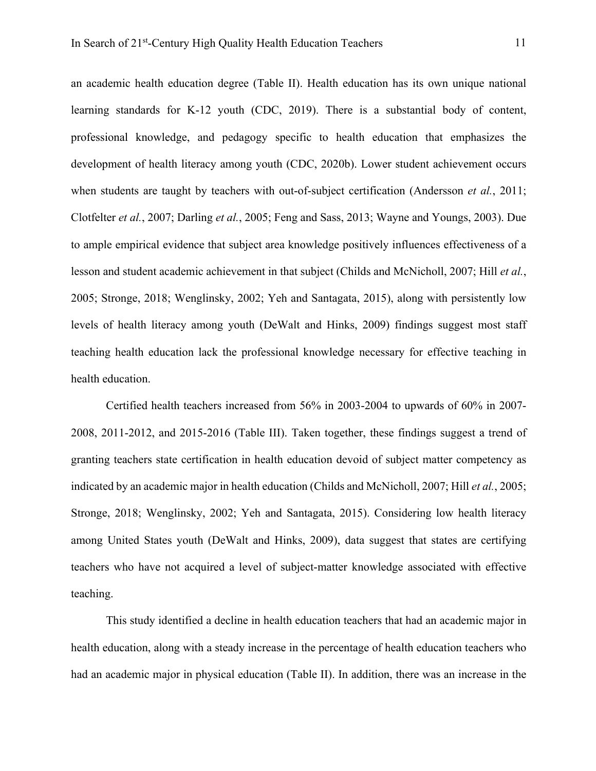an academic health education degree (Table II). Health education has its own unique national learning standards for K-12 youth (CDC, 2019). There is a substantial body of content, professional knowledge, and pedagogy specific to health education that emphasizes the development of health literacy among youth (CDC, 2020b). Lower student achievement occurs when students are taught by teachers with out-of-subject certification (Andersson *et al.*, 2011; Clotfelter *et al.*, 2007; Darling *et al.*, 2005; Feng and Sass, 2013; Wayne and Youngs, 2003). Due to ample empirical evidence that subject area knowledge positively influences effectiveness of a lesson and student academic achievement in that subject (Childs and McNicholl, 2007; Hill *et al.*, 2005; Stronge, 2018; Wenglinsky, 2002; Yeh and Santagata, 2015), along with persistently low levels of health literacy among youth (DeWalt and Hinks, 2009) findings suggest most staff teaching health education lack the professional knowledge necessary for effective teaching in health education.

Certified health teachers increased from 56% in 2003-2004 to upwards of 60% in 2007- 2008, 2011-2012, and 2015-2016 (Table III). Taken together, these findings suggest a trend of granting teachers state certification in health education devoid of subject matter competency as indicated by an academic major in health education (Childs and McNicholl, 2007; Hill *et al.*, 2005; Stronge, 2018; Wenglinsky, 2002; Yeh and Santagata, 2015). Considering low health literacy among United States youth (DeWalt and Hinks, 2009), data suggest that states are certifying teachers who have not acquired a level of subject-matter knowledge associated with effective teaching.

This study identified a decline in health education teachers that had an academic major in health education, along with a steady increase in the percentage of health education teachers who had an academic major in physical education (Table II). In addition, there was an increase in the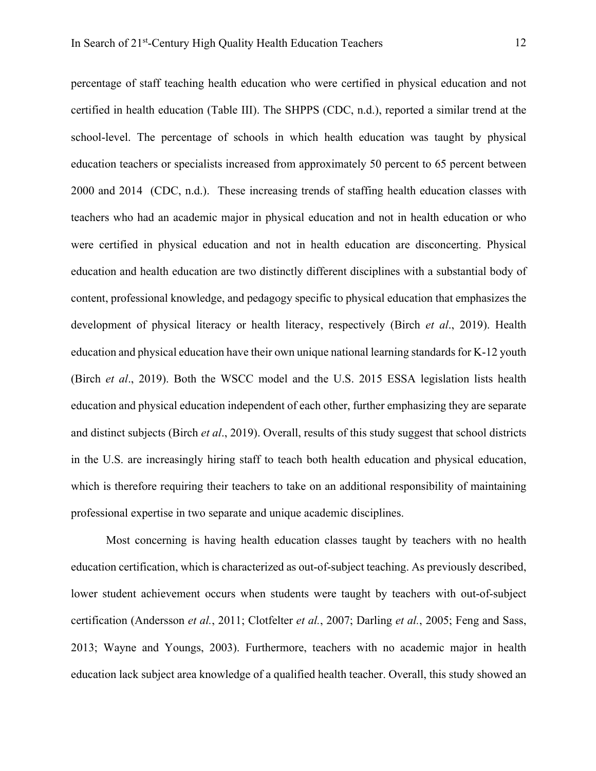percentage of staff teaching health education who were certified in physical education and not certified in health education (Table III). The SHPPS (CDC, n.d.), reported a similar trend at the school-level. The percentage of schools in which health education was taught by physical education teachers or specialists increased from approximately 50 percent to 65 percent between 2000 and 2014 (CDC, n.d.). These increasing trends of staffing health education classes with teachers who had an academic major in physical education and not in health education or who were certified in physical education and not in health education are disconcerting. Physical education and health education are two distinctly different disciplines with a substantial body of content, professional knowledge, and pedagogy specific to physical education that emphasizes the development of physical literacy or health literacy, respectively (Birch *et al*., 2019). Health education and physical education have their own unique national learning standards for K-12 youth (Birch *et al*., 2019). Both the WSCC model and the U.S. 2015 ESSA legislation lists health education and physical education independent of each other, further emphasizing they are separate and distinct subjects (Birch *et al*., 2019). Overall, results of this study suggest that school districts in the U.S. are increasingly hiring staff to teach both health education and physical education, which is therefore requiring their teachers to take on an additional responsibility of maintaining professional expertise in two separate and unique academic disciplines.

Most concerning is having health education classes taught by teachers with no health education certification, which is characterized as out-of-subject teaching. As previously described, lower student achievement occurs when students were taught by teachers with out-of-subject certification (Andersson *et al.*, 2011; Clotfelter *et al.*, 2007; Darling *et al.*, 2005; Feng and Sass, 2013; Wayne and Youngs, 2003). Furthermore, teachers with no academic major in health education lack subject area knowledge of a qualified health teacher. Overall, this study showed an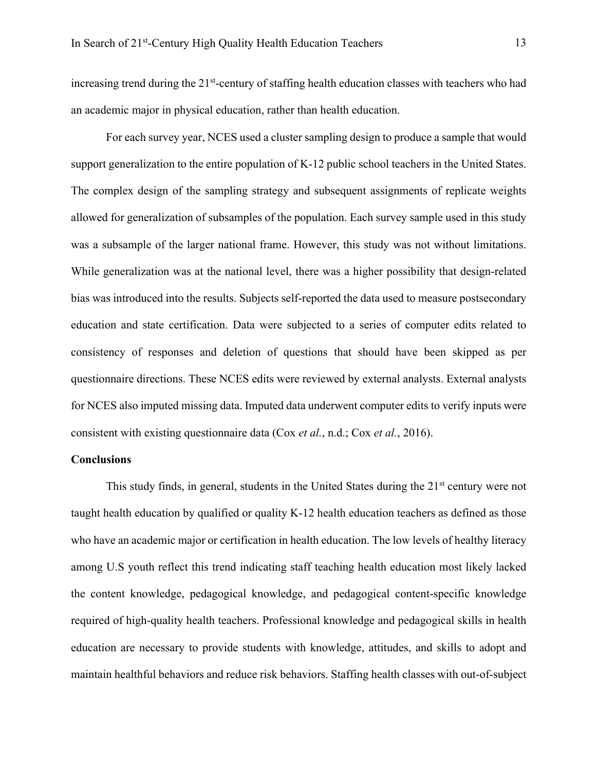increasing trend during the  $21<sup>st</sup>$ -century of staffing health education classes with teachers who had an academic major in physical education, rather than health education.

For each survey year, NCES used a cluster sampling design to produce a sample that would support generalization to the entire population of K-12 public school teachers in the United States. The complex design of the sampling strategy and subsequent assignments of replicate weights allowed for generalization of subsamples of the population. Each survey sample used in this study was a subsample of the larger national frame. However, this study was not without limitations. While generalization was at the national level, there was a higher possibility that design-related bias was introduced into the results. Subjects self-reported the data used to measure postsecondary education and state certification. Data were subjected to a series of computer edits related to consistency of responses and deletion of questions that should have been skipped as per questionnaire directions. These NCES edits were reviewed by external analysts. External analysts for NCES also imputed missing data. Imputed data underwent computer edits to verify inputs were consistent with existing questionnaire data (Cox *et al.*, n.d.; Cox *et al.*, 2016).

## **Conclusions**

This study finds, in general, students in the United States during the  $21<sup>st</sup>$  century were not taught health education by qualified or quality K-12 health education teachers as defined as those who have an academic major or certification in health education. The low levels of healthy literacy among U.S youth reflect this trend indicating staff teaching health education most likely lacked the content knowledge, pedagogical knowledge, and pedagogical content-specific knowledge required of high-quality health teachers. Professional knowledge and pedagogical skills in health education are necessary to provide students with knowledge, attitudes, and skills to adopt and maintain healthful behaviors and reduce risk behaviors. Staffing health classes with out-of-subject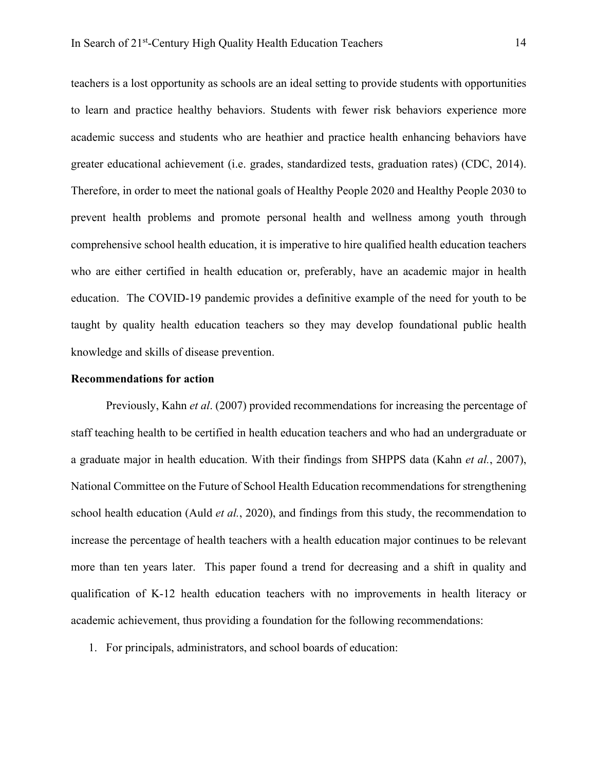teachers is a lost opportunity as schools are an ideal setting to provide students with opportunities to learn and practice healthy behaviors. Students with fewer risk behaviors experience more academic success and students who are heathier and practice health enhancing behaviors have greater educational achievement (i.e. grades, standardized tests, graduation rates) (CDC, 2014). Therefore, in order to meet the national goals of Healthy People 2020 and Healthy People 2030 to prevent health problems and promote personal health and wellness among youth through comprehensive school health education, it is imperative to hire qualified health education teachers who are either certified in health education or, preferably, have an academic major in health education. The COVID-19 pandemic provides a definitive example of the need for youth to be taught by quality health education teachers so they may develop foundational public health knowledge and skills of disease prevention.

#### **Recommendations for action**

Previously, Kahn *et al*. (2007) provided recommendations for increasing the percentage of staff teaching health to be certified in health education teachers and who had an undergraduate or a graduate major in health education. With their findings from SHPPS data (Kahn *et al.*, 2007), National Committee on the Future of School Health Education recommendations for strengthening school health education (Auld *et al.*, 2020), and findings from this study, the recommendation to increase the percentage of health teachers with a health education major continues to be relevant more than ten years later. This paper found a trend for decreasing and a shift in quality and qualification of K-12 health education teachers with no improvements in health literacy or academic achievement, thus providing a foundation for the following recommendations:

1. For principals, administrators, and school boards of education: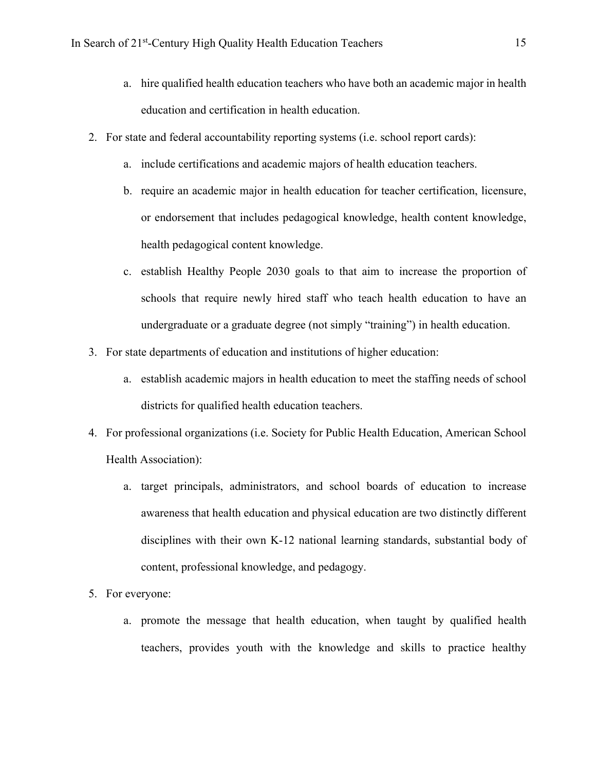- a. hire qualified health education teachers who have both an academic major in health education and certification in health education.
- 2. For state and federal accountability reporting systems (i.e. school report cards):
	- a. include certifications and academic majors of health education teachers.
	- b. require an academic major in health education for teacher certification, licensure, or endorsement that includes pedagogical knowledge, health content knowledge, health pedagogical content knowledge.
	- c. establish Healthy People 2030 goals to that aim to increase the proportion of schools that require newly hired staff who teach health education to have an undergraduate or a graduate degree (not simply "training") in health education.
- 3. For state departments of education and institutions of higher education:
	- a. establish academic majors in health education to meet the staffing needs of school districts for qualified health education teachers.
- 4. For professional organizations (i.e. Society for Public Health Education, American School Health Association):
	- a. target principals, administrators, and school boards of education to increase awareness that health education and physical education are two distinctly different disciplines with their own K-12 national learning standards, substantial body of content, professional knowledge, and pedagogy.
- 5. For everyone:
	- a. promote the message that health education, when taught by qualified health teachers, provides youth with the knowledge and skills to practice healthy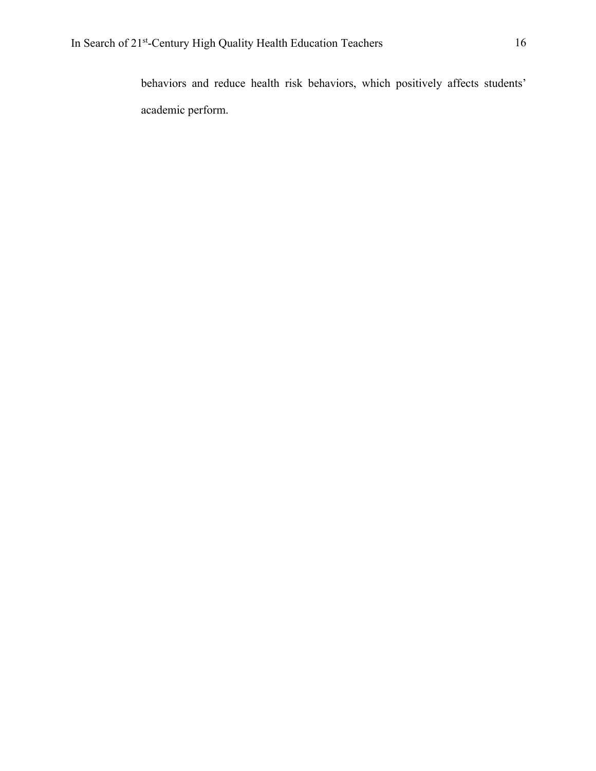behaviors and reduce health risk behaviors, which positively affects students' academic perform.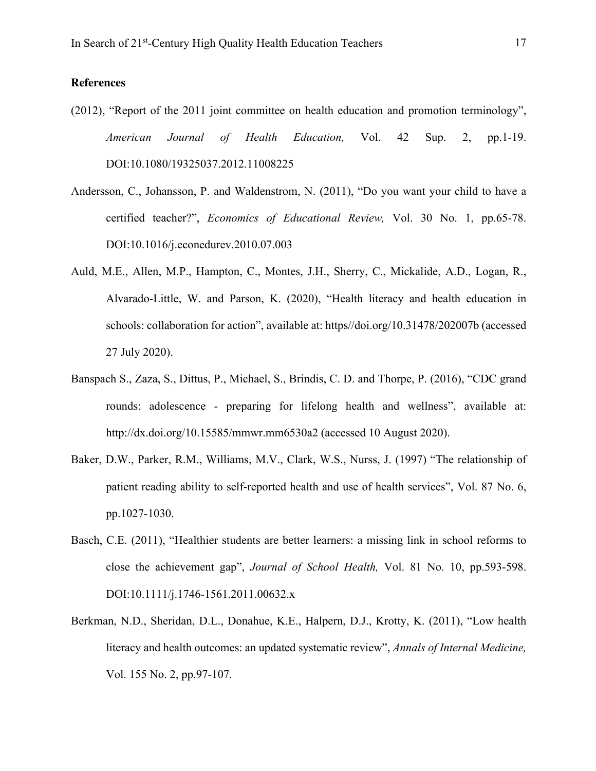# **References**

- (2012), "Report of the 2011 joint committee on health education and promotion terminology", *American Journal of Health Education,* Vol. 42 Sup. 2, pp.1-19. DOI:10.1080/19325037.2012.11008225
- Andersson, C., Johansson, P. and Waldenstrom, N. (2011), "Do you want your child to have a certified teacher?", *Economics of Educational Review,* Vol. 30 No. 1, pp.65-78. DOI:10.1016/j.econedurev.2010.07.003
- Auld, M.E., Allen, M.P., Hampton, C., Montes, J.H., Sherry, C., Mickalide, A.D., Logan, R., Alvarado-Little, W. and Parson, K. (2020), "Health literacy and health education in schools: collaboration for action", available at: https//doi.org/10.31478/202007b (accessed 27 July 2020).
- Banspach S., Zaza, S., Dittus, P., Michael, S., Brindis, C. D. and Thorpe, P. (2016), "CDC grand rounds: adolescence - preparing for lifelong health and wellness", available at: http://dx.doi.org/10.15585/mmwr.mm6530a2 (accessed 10 August 2020).
- Baker, D.W., Parker, R.M., Williams, M.V., Clark, W.S., Nurss, J. (1997) "The relationship of patient reading ability to self-reported health and use of health services", Vol. 87 No. 6, pp.1027-1030.
- Basch, C.E. (2011), "Healthier students are better learners: a missing link in school reforms to close the achievement gap", *Journal of School Health,* Vol. 81 No. 10, pp.593-598. DOI:10.1111/j.1746-1561.2011.00632.x
- Berkman, N.D., Sheridan, D.L., Donahue, K.E., Halpern, D.J., Krotty, K. (2011), "Low health literacy and health outcomes: an updated systematic review", *Annals of Internal Medicine,*  Vol. 155 No. 2, pp.97-107.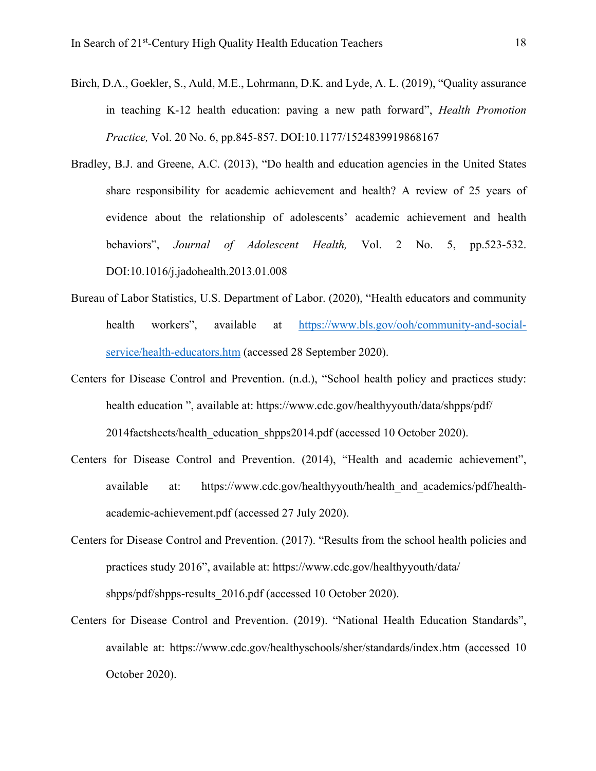- Birch, D.A., Goekler, S., Auld, M.E., Lohrmann, D.K. and Lyde, A. L. (2019), "Quality assurance in teaching K-12 health education: paving a new path forward", *Health Promotion Practice,* Vol. 20 No. 6, pp.845-857. DOI:10.1177/1524839919868167
- Bradley, B.J. and Greene, A.C. (2013), "Do health and education agencies in the United States share responsibility for academic achievement and health? A review of 25 years of evidence about the relationship of adolescents' academic achievement and health behaviors", *Journal of Adolescent Health,* Vol. 2 No. 5, pp.523-532. DOI:10.1016/j.jadohealth.2013.01.008
- Bureau of Labor Statistics, U.S. Department of Labor. (2020), "Health educators and community health workers", available at https://www.bls.gov/ooh/community-and-socialservice/health-educators.htm (accessed 28 September 2020).
- Centers for Disease Control and Prevention. (n.d.), "School health policy and practices study: health education ", available at: https://www.cdc.gov/healthyyouth/data/shpps/pdf/ 2014factsheets/health\_education\_shpps2014.pdf (accessed 10 October 2020).
- Centers for Disease Control and Prevention. (2014), "Health and academic achievement", available at: https://www.cdc.gov/healthyyouth/health and academics/pdf/healthacademic-achievement.pdf (accessed 27 July 2020).
- Centers for Disease Control and Prevention. (2017). "Results from the school health policies and practices study 2016", available at: https://www.cdc.gov/healthyyouth/data/ shpps/pdf/shpps-results 2016.pdf (accessed 10 October 2020).
- Centers for Disease Control and Prevention. (2019). "National Health Education Standards", available at: https://www.cdc.gov/healthyschools/sher/standards/index.htm (accessed 10 October 2020).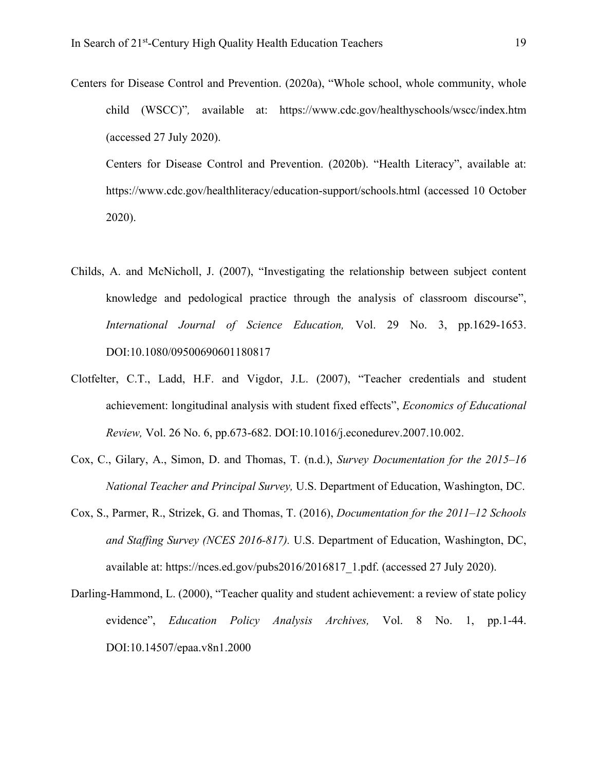Centers for Disease Control and Prevention. (2020a), "Whole school, whole community, whole child (WSCC)"*,* available at: https://www.cdc.gov/healthyschools/wscc/index.htm (accessed 27 July 2020).

Centers for Disease Control and Prevention. (2020b). "Health Literacy", available at: https://www.cdc.gov/healthliteracy/education-support/schools.html (accessed 10 October 2020).

- Childs, A. and McNicholl, J. (2007), "Investigating the relationship between subject content knowledge and pedological practice through the analysis of classroom discourse", *International Journal of Science Education,* Vol. 29 No. 3, pp.1629-1653. DOI:10.1080/09500690601180817
- Clotfelter, C.T., Ladd, H.F. and Vigdor, J.L. (2007), "Teacher credentials and student achievement: longitudinal analysis with student fixed effects", *Economics of Educational Review,* Vol. 26 No. 6, pp.673-682. DOI:10.1016/j.econedurev.2007.10.002.
- Cox, C., Gilary, A., Simon, D. and Thomas, T. (n.d.), *Survey Documentation for the 2015–16 National Teacher and Principal Survey,* U.S. Department of Education, Washington, DC.
- Cox, S., Parmer, R., Strizek, G. and Thomas, T. (2016), *Documentation for the 2011–12 Schools and Staffing Survey (NCES 2016-817).* U.S. Department of Education, Washington, DC, available at: https://nces.ed.gov/pubs2016/2016817\_1.pdf. (accessed 27 July 2020).
- Darling-Hammond, L. (2000), "Teacher quality and student achievement: a review of state policy evidence", *Education Policy Analysis Archives,* Vol. 8 No. 1, pp.1-44. DOI:10.14507/epaa.v8n1.2000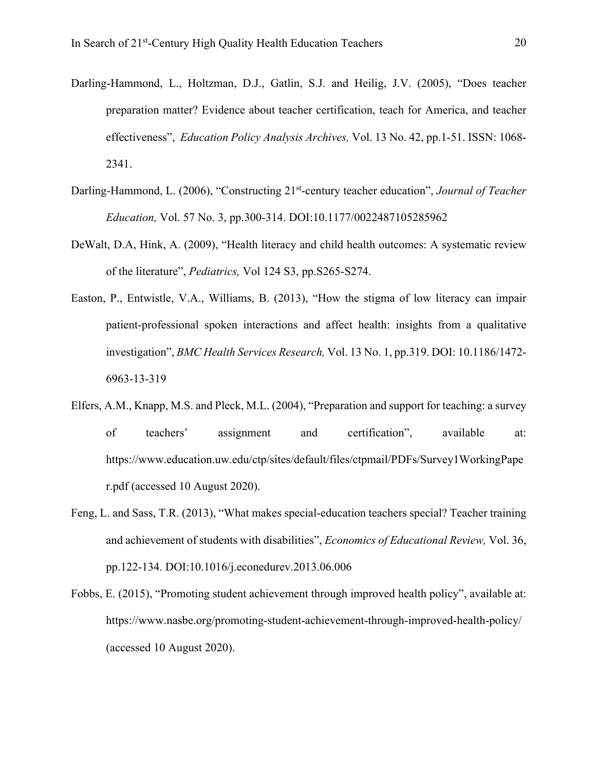- Darling-Hammond, L., Holtzman, D.J., Gatlin, S.J. and Heilig, J.V. (2005), "Does teacher preparation matter? Evidence about teacher certification, teach for America, and teacher effectiveness", *Education Policy Analysis Archives,* Vol. 13 No. 42, pp.1-51. ISSN: 1068- 2341.
- Darling-Hammond, L. (2006), "Constructing 21<sup>st</sup>-century teacher education", *Journal of Teacher Education,* Vol. 57 No. 3, pp.300-314. DOI:10.1177/0022487105285962
- DeWalt, D.A, Hink, A. (2009), "Health literacy and child health outcomes: A systematic review of the literature", *Pediatrics,* Vol 124 S3, pp.S265-S274.
- Easton, P., Entwistle, V.A., Williams, B. (2013), "How the stigma of low literacy can impair patient-professional spoken interactions and affect health: insights from a qualitative investigation", *BMC Health Services Research,* Vol. 13 No. 1, pp.319. DOI: 10.1186/1472- 6963-13-319
- Elfers, A.M., Knapp, M.S. and Pleck, M.L. (2004), "Preparation and support for teaching: a survey of teachers' assignment and certification", available at: https://www.education.uw.edu/ctp/sites/default/files/ctpmail/PDFs/Survey1WorkingPape r.pdf (accessed 10 August 2020).
- Feng, L. and Sass, T.R. (2013), "What makes special-education teachers special? Teacher training and achievement of students with disabilities", *Economics of Educational Review,* Vol. 36, pp.122-134. DOI:10.1016/j.econedurev.2013.06.006
- Fobbs, E. (2015), "Promoting student achievement through improved health policy", available at: https://www.nasbe.org/promoting-student-achievement-through-improved-health-policy/ (accessed 10 August 2020).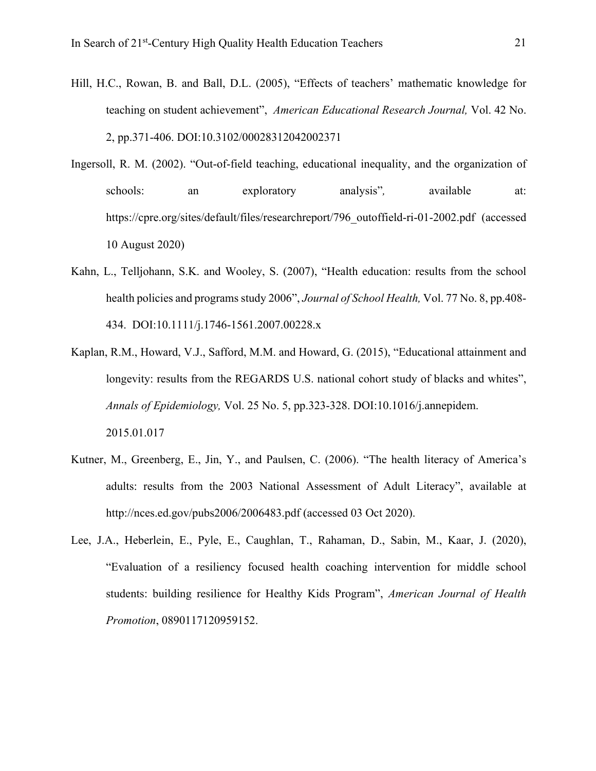- Hill, H.C., Rowan, B. and Ball, D.L. (2005), "Effects of teachers' mathematic knowledge for teaching on student achievement", *American Educational Research Journal,* Vol. 42 No. 2, pp.371-406. DOI:10.3102/00028312042002371
- Ingersoll, R. M. (2002). "Out-of-field teaching, educational inequality, and the organization of schools: an exploratory analysis", available at: https://cpre.org/sites/default/files/researchreport/796\_outoffield-ri-01-2002.pdf (accessed 10 August 2020)
- Kahn, L., Telljohann, S.K. and Wooley, S. (2007), "Health education: results from the school health policies and programs study 2006", *Journal of School Health,* Vol. 77 No. 8, pp.408- 434. DOI:10.1111/j.1746-1561.2007.00228.x
- Kaplan, R.M., Howard, V.J., Safford, M.M. and Howard, G. (2015), "Educational attainment and longevity: results from the REGARDS U.S. national cohort study of blacks and whites", *Annals of Epidemiology,* Vol. 25 No. 5, pp.323-328. DOI:10.1016/j.annepidem. 2015.01.017
- Kutner, M., Greenberg, E., Jin, Y., and Paulsen, C. (2006). "The health literacy of America's adults: results from the 2003 National Assessment of Adult Literacy", available at http://nces.ed.gov/pubs2006/2006483.pdf (accessed 03 Oct 2020).
- Lee, J.A., Heberlein, E., Pyle, E., Caughlan, T., Rahaman, D., Sabin, M., Kaar, J. (2020), "Evaluation of a resiliency focused health coaching intervention for middle school students: building resilience for Healthy Kids Program", *American Journal of Health Promotion*, 0890117120959152.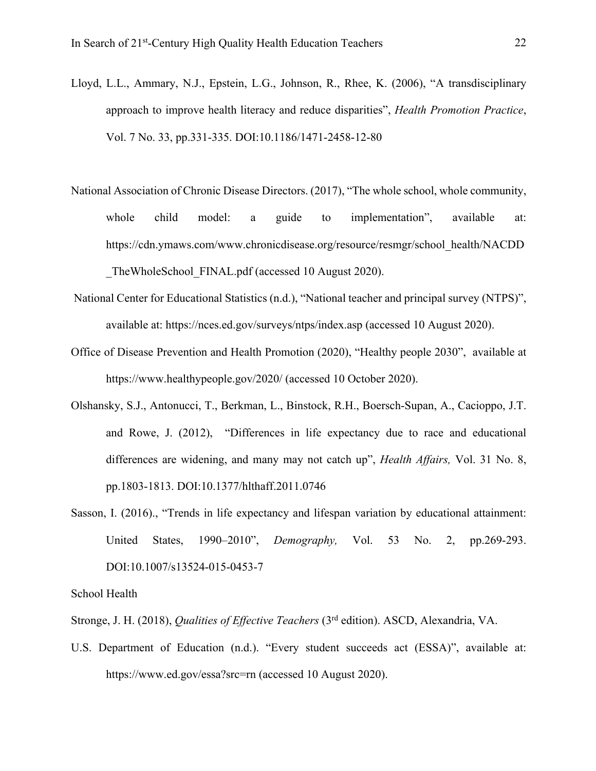- Lloyd, L.L., Ammary, N.J., Epstein, L.G., Johnson, R., Rhee, K. (2006), "A transdisciplinary approach to improve health literacy and reduce disparities", *Health Promotion Practice*, Vol. 7 No. 33, pp.331-335. DOI:10.1186/1471-2458-12-80
- National Association of Chronic Disease Directors. (2017), "The whole school, whole community, whole child model: a guide to implementation", available at: https://cdn.ymaws.com/www.chronicdisease.org/resource/resmgr/school\_health/NACDD TheWholeSchool\_FINAL.pdf (accessed 10 August 2020).
- National Center for Educational Statistics (n.d.), "National teacher and principal survey (NTPS)", available at: https://nces.ed.gov/surveys/ntps/index.asp (accessed 10 August 2020).
- Office of Disease Prevention and Health Promotion (2020), "Healthy people 2030", available at https://www.healthypeople.gov/2020/ (accessed 10 October 2020).
- Olshansky, S.J., Antonucci, T., Berkman, L., Binstock, R.H., Boersch-Supan, A., Cacioppo, J.T. and Rowe, J. (2012), "Differences in life expectancy due to race and educational differences are widening, and many may not catch up", *Health Affairs,* Vol. 31 No. 8, pp.1803-1813. DOI:10.1377/hlthaff.2011.0746
- Sasson, I. (2016)., "Trends in life expectancy and lifespan variation by educational attainment: United States, 1990–2010", *Demography,* Vol. 53 No. 2, pp.269-293. DOI:10.1007/s13524-015-0453-7

School Health

Stronge, J. H. (2018), *Qualities of Effective Teachers* (3rd edition). ASCD, Alexandria, VA.

U.S. Department of Education (n.d.). "Every student succeeds act (ESSA)", available at: https://www.ed.gov/essa?src=rn (accessed 10 August 2020).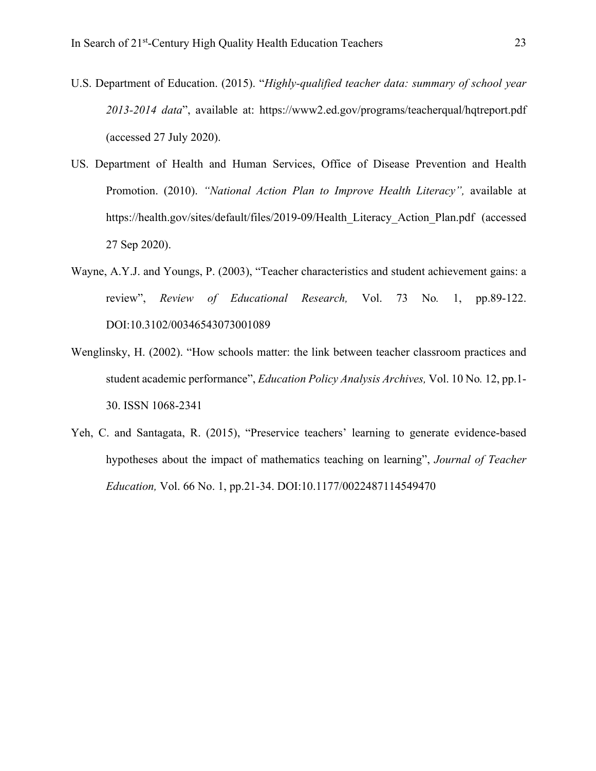- U.S. Department of Education. (2015). "*Highly-qualified teacher data: summary of school year 2013-2014 data*", available at: https://www2.ed.gov/programs/teacherqual/hqtreport.pdf (accessed 27 July 2020).
- US. Department of Health and Human Services, Office of Disease Prevention and Health Promotion. (2010). *"National Action Plan to Improve Health Literacy",* available at https://health.gov/sites/default/files/2019-09/Health\_Literacy\_Action\_Plan.pdf (accessed 27 Sep 2020).
- Wayne, A.Y.J. and Youngs, P. (2003), "Teacher characteristics and student achievement gains: a review", *Review of Educational Research,* Vol. 73 No*.* 1, pp.89-122. DOI:10.3102/00346543073001089
- Wenglinsky, H. (2002). "How schools matter: the link between teacher classroom practices and student academic performance", *Education Policy Analysis Archives,* Vol. 10 No*.* 12, pp.1- 30. ISSN 1068-2341
- Yeh, C. and Santagata, R. (2015), "Preservice teachers' learning to generate evidence-based hypotheses about the impact of mathematics teaching on learning", *Journal of Teacher Education,* Vol. 66 No. 1, pp.21-34. DOI:10.1177/0022487114549470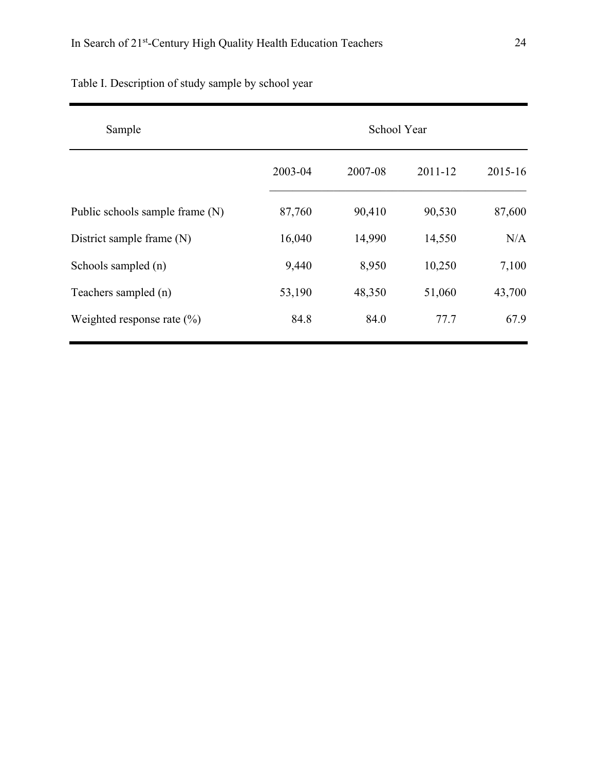| Sample                          | School Year |         |         |         |  |
|---------------------------------|-------------|---------|---------|---------|--|
|                                 | 2003-04     | 2007-08 | 2011-12 | 2015-16 |  |
| Public schools sample frame (N) | 87,760      | 90,410  | 90,530  | 87,600  |  |
| District sample frame (N)       | 16,040      | 14,990  | 14,550  | N/A     |  |
| Schools sampled (n)             | 9,440       | 8,950   | 10,250  | 7,100   |  |
| Teachers sampled (n)            | 53,190      | 48,350  | 51,060  | 43,700  |  |
| Weighted response rate $(\% )$  | 84.8        | 84.0    | 77.7    | 67.9    |  |

Table I. Description of study sample by school year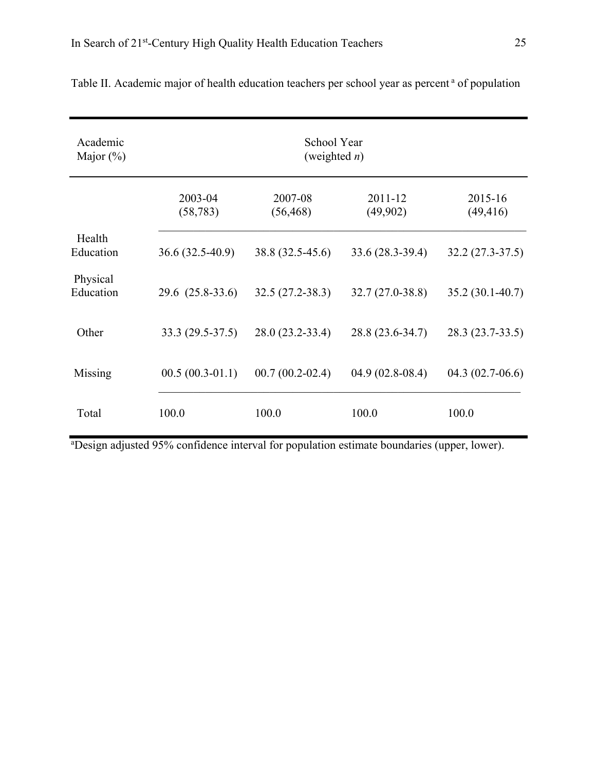| Academic<br>Major $(\%)$ | School Year<br>(weighted $n$ ) |                      |                     |                      |  |  |  |
|--------------------------|--------------------------------|----------------------|---------------------|----------------------|--|--|--|
|                          | 2003-04<br>(58, 783)           | 2007-08<br>(56, 468) | 2011-12<br>(49,902) | 2015-16<br>(49, 416) |  |  |  |
| Health<br>Education      | $36.6(32.5-40.9)$              | 38.8 (32.5-45.6)     | $33.6(28.3-39.4)$   | $32.2(27.3-37.5)$    |  |  |  |
| Physical<br>Education    | $29.6(25.8-33.6)$              | $32.5(27.2 - 38.3)$  | $32.7(27.0-38.8)$   | $35.2(30.1-40.7)$    |  |  |  |
| Other                    | 33.3 (29.5-37.5)               | 28.0 (23.2-33.4)     | 28.8 (23.6-34.7)    | 28.3 (23.7-33.5)     |  |  |  |
| Missing                  | $00.5(00.3-01.1)$              | $00.7(00.2-02.4)$    | $04.9(02.8-08.4)$   | $04.3(02.7-06.6)$    |  |  |  |
| Total                    | 100.0                          | 100.0                | 100.0               | 100.0                |  |  |  |

|  |  |  |  | Table II. Academic major of health education teachers per school year as percent <sup>a</sup> of population |  |
|--|--|--|--|-------------------------------------------------------------------------------------------------------------|--|
|  |  |  |  |                                                                                                             |  |

<sup>a</sup>Design adjusted 95% confidence interval for population estimate boundaries (upper, lower).